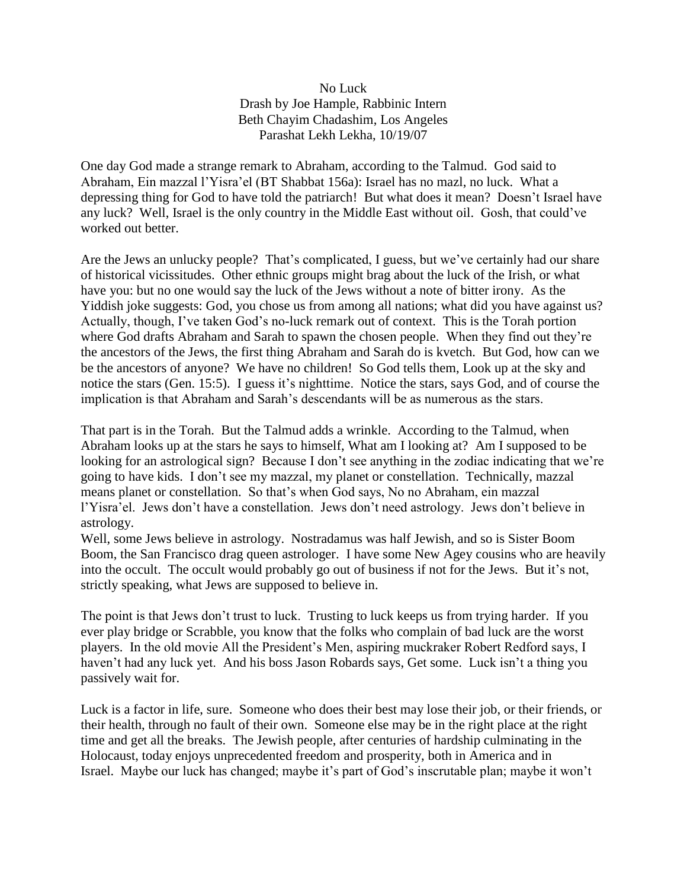## No Luck Drash by Joe Hample, Rabbinic Intern Beth Chayim Chadashim, Los Angeles Parashat Lekh Lekha, 10/19/07

One day God made a strange remark to Abraham, according to the Talmud. God said to Abraham, Ein mazzal l'Yisra'el (BT Shabbat 156a): Israel has no mazl, no luck. What a depressing thing for God to have told the patriarch! But what does it mean? Doesn't Israel have any luck? Well, Israel is the only country in the Middle East without oil. Gosh, that could've worked out better.

Are the Jews an unlucky people? That's complicated, I guess, but we've certainly had our share of historical vicissitudes. Other ethnic groups might brag about the luck of the Irish, or what have you: but no one would say the luck of the Jews without a note of bitter irony. As the Yiddish joke suggests: God, you chose us from among all nations; what did you have against us? Actually, though, I've taken God's no-luck remark out of context. This is the Torah portion where God drafts Abraham and Sarah to spawn the chosen people. When they find out they're the ancestors of the Jews, the first thing Abraham and Sarah do is kvetch. But God, how can we be the ancestors of anyone? We have no children! So God tells them, Look up at the sky and notice the stars (Gen. 15:5). I guess it's nighttime. Notice the stars, says God, and of course the implication is that Abraham and Sarah's descendants will be as numerous as the stars.

That part is in the Torah. But the Talmud adds a wrinkle. According to the Talmud, when Abraham looks up at the stars he says to himself, What am I looking at? Am I supposed to be looking for an astrological sign? Because I don't see anything in the zodiac indicating that we're going to have kids. I don't see my mazzal, my planet or constellation. Technically, mazzal means planet or constellation. So that's when God says, No no Abraham, ein mazzal l'Yisra'el. Jews don't have a constellation. Jews don't need astrology. Jews don't believe in astrology.

Well, some Jews believe in astrology. Nostradamus was half Jewish, and so is Sister Boom Boom, the San Francisco drag queen astrologer. I have some New Agey cousins who are heavily into the occult. The occult would probably go out of business if not for the Jews. But it's not, strictly speaking, what Jews are supposed to believe in.

The point is that Jews don't trust to luck. Trusting to luck keeps us from trying harder. If you ever play bridge or Scrabble, you know that the folks who complain of bad luck are the worst players. In the old movie All the President's Men, aspiring muckraker Robert Redford says, I haven't had any luck yet. And his boss Jason Robards says, Get some. Luck isn't a thing you passively wait for.

Luck is a factor in life, sure. Someone who does their best may lose their job, or their friends, or their health, through no fault of their own. Someone else may be in the right place at the right time and get all the breaks. The Jewish people, after centuries of hardship culminating in the Holocaust, today enjoys unprecedented freedom and prosperity, both in America and in Israel. Maybe our luck has changed; maybe it's part of God's inscrutable plan; maybe it won't